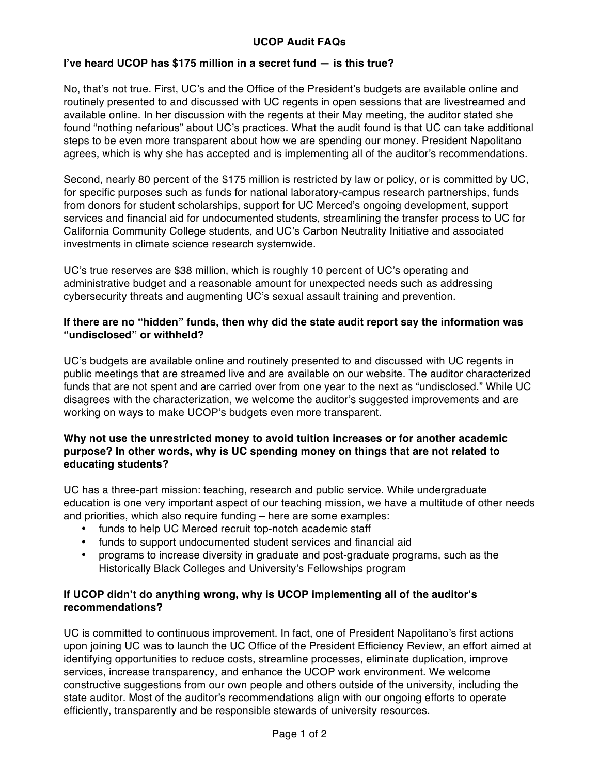# **UCOP Audit FAQs**

### **I've heard UCOP has \$175 million in a secret fund — is this true?**

No, that's not true. First, UC's and the Office of the President's budgets are available online and routinely presented to and discussed with UC regents in open sessions that are livestreamed and available online. In her discussion with the regents at their May meeting, the auditor stated she found "nothing nefarious" about UC's practices. What the audit found is that UC can take additional steps to be even more transparent about how we are spending our money. President Napolitano agrees, which is why she has accepted and is implementing all of the auditor's recommendations.

Second, nearly 80 percent of the \$175 million is restricted by law or policy, or is committed by UC, for specific purposes such as funds for national laboratory-campus research partnerships, funds from donors for student scholarships, support for UC Merced's ongoing development, support services and financial aid for undocumented students, streamlining the transfer process to UC for California Community College students, and UC's Carbon Neutrality Initiative and associated investments in climate science research systemwide.

UC's true reserves are \$38 million, which is roughly 10 percent of UC's operating and administrative budget and a reasonable amount for unexpected needs such as addressing cybersecurity threats and augmenting UC's sexual assault training and prevention.

#### **If there are no "hidden" funds, then why did the state audit report say the information was "undisclosed" or withheld?**

UC's budgets are available online and routinely presented to and discussed with UC regents in public meetings that are streamed live and are available on our website. The auditor characterized funds that are not spent and are carried over from one year to the next as "undisclosed." While UC disagrees with the characterization, we welcome the auditor's suggested improvements and are working on ways to make UCOP's budgets even more transparent.

### **Why not use the unrestricted money to avoid tuition increases or for another academic purpose? In other words, why is UC spending money on things that are not related to educating students?**

UC has a three-part mission: teaching, research and public service. While undergraduate education is one very important aspect of our teaching mission, we have a multitude of other needs and priorities, which also require funding – here are some examples:

- funds to help UC Merced recruit top-notch academic staff
- funds to support undocumented student services and financial aid
- programs to increase diversity in graduate and post-graduate programs, such as the Historically Black Colleges and University's Fellowships program

# **If UCOP didn't do anything wrong, why is UCOP implementing all of the auditor's recommendations?**

UC is committed to continuous improvement. In fact, one of President Napolitano's first actions upon joining UC was to launch the UC Office of the President Efficiency Review, an effort aimed at identifying opportunities to reduce costs, streamline processes, eliminate duplication, improve services, increase transparency, and enhance the UCOP work environment. We welcome constructive suggestions from our own people and others outside of the university, including the state auditor. Most of the auditor's recommendations align with our ongoing efforts to operate efficiently, transparently and be responsible stewards of university resources.